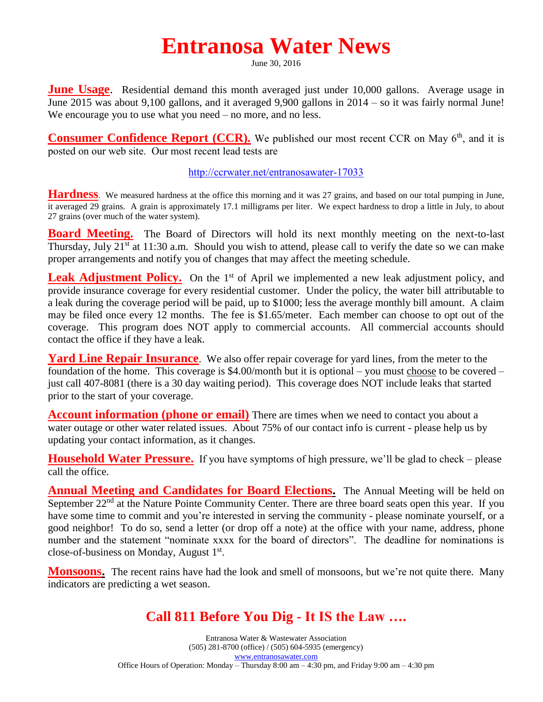## **Entranosa Water News**

June 30, 2016

**June Usage.** Residential demand this month averaged just under 10,000 gallons. Average usage in June 2015 was about 9,100 gallons, and it averaged 9,900 gallons in 2014 – so it was fairly normal June! We encourage you to use what you need – no more, and no less.

**Consumer Confidence Report (CCR).** We published our most recent CCR on May 6<sup>th</sup>, and it is **posted on our web site. Our most recent lead tests are** 

**<http://ccrwater.net/entranosawater-17033>**

**Hardness**. We measured hardness at the office this morning and it was 27 grains, and based on our total pumping in June, it averaged 29 grains. A grain is approximately 17.1 milligrams per liter. We expect hardness to drop a little in July, to about 27 grains (over much of the water system).

**Board Meeting.** The Board of Directors will hold its next monthly meeting on the next-to-last Thursday, July  $21<sup>st</sup>$  at 11:30 a.m. Should you wish to attend, please call to verify the date so we can make proper arrangements and notify you of changes that may affect the meeting schedule.

**Leak Adjustment Policy.** On the 1<sup>st</sup> of April we implemented a new leak adjustment policy, and provide insurance coverage for every residential customer. Under the policy, the water bill attributable to a leak during the coverage period will be paid, up to \$1000; less the average monthly bill amount. A claim may be filed once every 12 months. The fee is \$1.65/meter. Each member can choose to opt out of the coverage. This program does NOT apply to commercial accounts. All commercial accounts should contact the office if they have a leak.

**Yard Line Repair Insurance**. We also offer repair coverage for yard lines, from the meter to the foundation of the home. This coverage is \$4.00/month but it is optional – you must choose to be covered – just call 407-8081 (there is a 30 day waiting period). This coverage does NOT include leaks that started prior to the start of your coverage.

**Account information (phone or email)** There are times when we need to contact you about a water outage or other water related issues. About 75% of our contact info is current - please help us by updating your contact information, as it changes.

**Household Water Pressure.** If you have symptoms of high pressure, we'll be glad to check – please call the office.

**Annual Meeting and Candidates for Board Elections.** The Annual Meeting will be held on September 22<sup>nd</sup> at the Nature Pointe Community Center. There are three board seats open this year. If you have some time to commit and you're interested in serving the community - please nominate yourself, or a good neighbor! To do so, send a letter (or drop off a note) at the office with your name, address, phone number and the statement "nominate xxxx for the board of directors". The deadline for nominations is close-of-business on Monday, August 1<sup>st</sup>.

**Monsoons.** The recent rains have had the look and smell of monsoons, but we're not quite there. Many indicators are predicting a wet season.

## **Call 811 Before You Dig - It IS the Law ….**